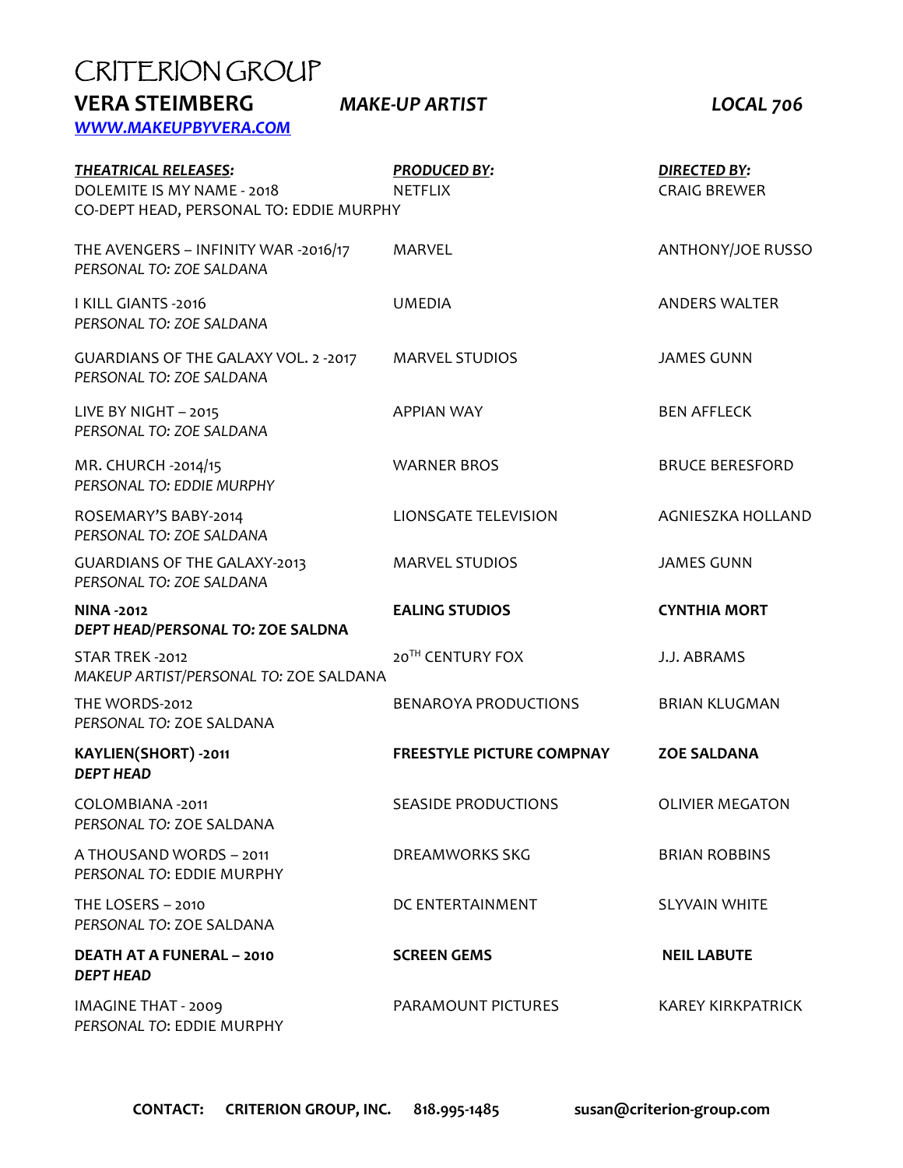| CRITERION GROUP                                                                                      |                                       |                                            |  |
|------------------------------------------------------------------------------------------------------|---------------------------------------|--------------------------------------------|--|
| <b>VERA STEIMBERG</b><br>WWW.MAKEUPBYVERA.COM                                                        | <b>MAKE-UP ARTIST</b>                 | <b>LOCAL 706</b>                           |  |
| <b>THEATRICAL RELEASES:</b><br>DOLEMITE IS MY NAME - 2018<br>CO-DEPT HEAD, PERSONAL TO: EDDIE MURPHY | <b>PRODUCED BY:</b><br><b>NETFLIX</b> | <b>DIRECTED BY:</b><br><b>CRAIG BREWER</b> |  |
| THE AVENGERS - INFINITY WAR -2016/17<br>PERSONAL TO: ZOE SALDANA                                     | MARVEL                                | <b>ANTHONY/JOE RUSSO</b>                   |  |
| I KILL GIANTS -2016<br>PERSONAL TO: ZOE SALDANA                                                      | <b>UMEDIA</b>                         | <b>ANDERS WALTER</b>                       |  |
| GUARDIANS OF THE GALAXY VOL. 2 -2017<br>PERSONAL TO: ZOE SALDANA                                     | <b>MARVEL STUDIOS</b>                 | <b>JAMES GUNN</b>                          |  |
| LIVE BY NIGHT - 2015<br>PERSONAL TO: ZOE SALDANA                                                     | <b>APPIAN WAY</b>                     | <b>BEN AFFLECK</b>                         |  |
| MR. CHURCH -2014/15<br>PERSONAL TO: EDDIE MURPHY                                                     | <b>WARNER BROS</b>                    | <b>BRUCE BERESFORD</b>                     |  |
| ROSEMARY'S BABY-2014<br>PERSONAL TO: ZOE SALDANA                                                     | LIONSGATE TELEVISION                  | AGNIESZKA HOLLAND                          |  |
| <b>GUARDIANS OF THE GALAXY-2013</b><br>PERSONAL TO: ZOE SALDANA                                      | <b>MARVEL STUDIOS</b>                 | <b>JAMES GUNN</b>                          |  |
| <b>NINA -2012</b><br>DEPT HEAD/PERSONAL TO: ZOE SALDNA                                               | <b>EALING STUDIOS</b>                 | <b>CYNTHIA MORT</b>                        |  |
| STAR TREK -2012<br>MAKEUP ARTIST/PERSONAL TO: ZOE SALDANA                                            | 20 <sup>TH</sup> CENTURY FOX          | J.J. ABRAMS                                |  |
| THE WORDS-2012<br>PERSONAL TO: ZOE SALDANA                                                           | <b>BENAROYA PRODUCTIONS</b>           | <b>BRIAN KLUGMAN</b>                       |  |
| KAYLIEN(SHORT) -2011<br><b>DEPT HEAD</b>                                                             | <b>FREESTYLE PICTURE COMPNAY</b>      | <b>ZOE SALDANA</b>                         |  |
| COLOMBIANA -2011<br>PERSONAL TO: ZOE SALDANA                                                         | <b>SEASIDE PRODUCTIONS</b>            | <b>OLIVIER MEGATON</b>                     |  |
| A THOUSAND WORDS - 2011<br>PERSONAL TO: EDDIE MURPHY                                                 | DREAMWORKS SKG                        | <b>BRIAN ROBBINS</b>                       |  |
| THE LOSERS - 2010<br>PERSONAL TO: ZOE SALDANA                                                        | DC ENTERTAINMENT                      | <b>SLYVAIN WHITE</b>                       |  |
| <b>DEATH AT A FUNERAL - 2010</b><br><b>DEPT HEAD</b>                                                 | <b>SCREEN GEMS</b>                    | <b>NEIL LABUTE</b>                         |  |
| <b>IMAGINE THAT - 2009</b><br>PERSONAL TO: EDDIE MURPHY                                              | PARAMOUNT PICTURES                    | <b>KAREY KIRKPATRICK</b>                   |  |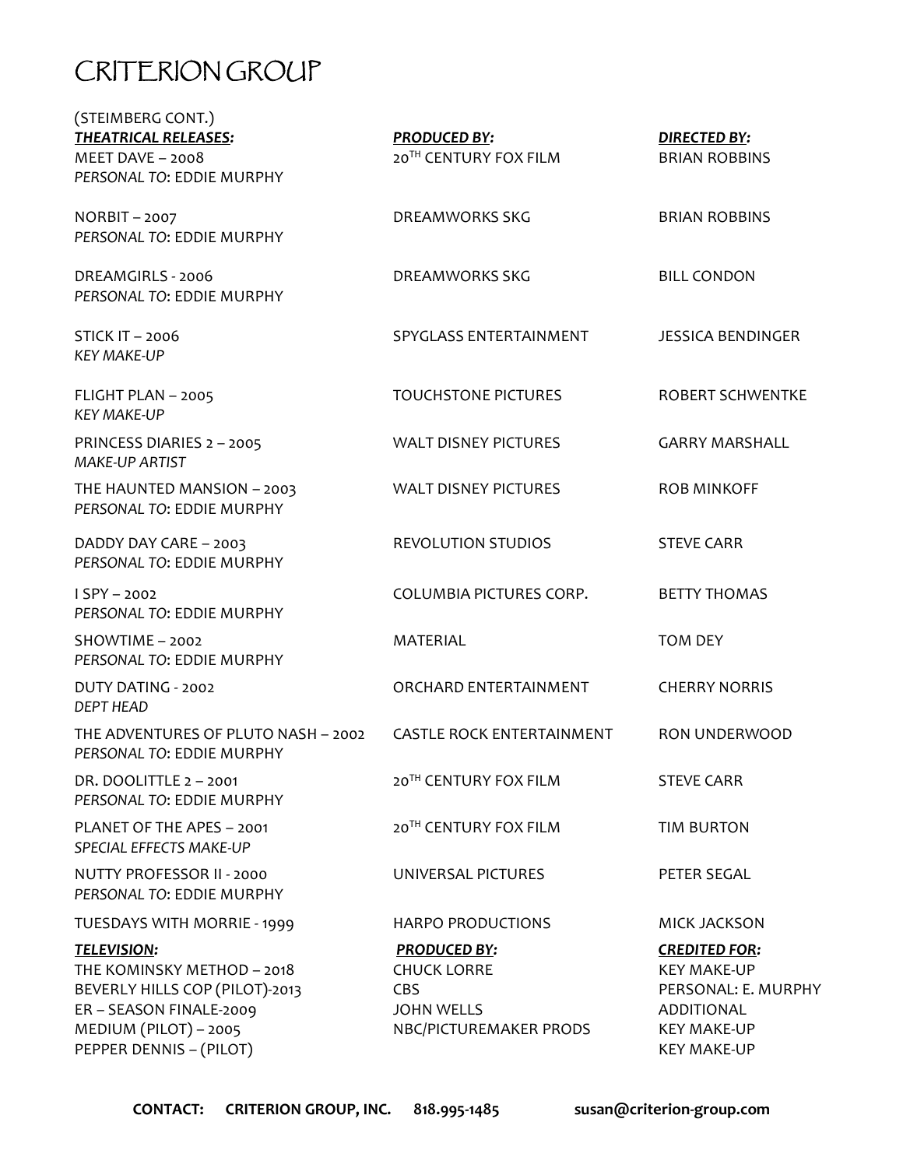# CRITERION GROUP

| (STEIMBERG CONT.)<br><b>THEATRICAL RELEASES:</b><br>MEET DAVE $-$ 2008<br>PERSONAL TO: EDDIE MURPHY                                                               | <b>PRODUCED BY:</b><br>20TH CENTURY FOX FILM                                                           | <b>DIRECTED BY:</b><br><b>BRIAN ROBBINS</b>                                                                                 |
|-------------------------------------------------------------------------------------------------------------------------------------------------------------------|--------------------------------------------------------------------------------------------------------|-----------------------------------------------------------------------------------------------------------------------------|
| NORBIT-2007<br>PERSONAL TO: EDDIE MURPHY                                                                                                                          | DREAMWORKS SKG                                                                                         | <b>BRIAN ROBBINS</b>                                                                                                        |
| DREAMGIRLS - 2006<br>PERSONAL TO: EDDIE MURPHY                                                                                                                    | DREAMWORKS SKG                                                                                         | <b>BILL CONDON</b>                                                                                                          |
| <b>STICK IT - 2006</b><br><b>KEY MAKE-UP</b>                                                                                                                      | SPYGLASS ENTERTAINMENT                                                                                 | <b>JESSICA BENDINGER</b>                                                                                                    |
| FLIGHT PLAN - 2005<br><b>KEY MAKE-UP</b>                                                                                                                          | <b>TOUCHSTONE PICTURES</b>                                                                             | <b>ROBERT SCHWENTKE</b>                                                                                                     |
| PRINCESS DIARIES 2 - 2005<br><b>MAKE-UP ARTIST</b>                                                                                                                | <b>WALT DISNEY PICTURES</b>                                                                            | <b>GARRY MARSHALL</b>                                                                                                       |
| THE HAUNTED MANSION - 2003<br>PERSONAL TO: EDDIE MURPHY                                                                                                           | <b>WALT DISNEY PICTURES</b>                                                                            | <b>ROB MINKOFF</b>                                                                                                          |
| DADDY DAY CARE - 2003<br>PERSONAL TO: EDDIE MURPHY                                                                                                                | <b>REVOLUTION STUDIOS</b>                                                                              | <b>STEVE CARR</b>                                                                                                           |
| $I$ SPY - 2002<br>PERSONAL TO: EDDIE MURPHY                                                                                                                       | COLUMBIA PICTURES CORP.                                                                                | <b>BETTY THOMAS</b>                                                                                                         |
| SHOWTIME - 2002<br>PERSONAL TO: EDDIE MURPHY                                                                                                                      | <b>MATERIAL</b>                                                                                        | <b>TOM DEY</b>                                                                                                              |
| DUTY DATING - 2002<br><b>DEPT HEAD</b>                                                                                                                            | ORCHARD ENTERTAINMENT                                                                                  | <b>CHERRY NORRIS</b>                                                                                                        |
| THE ADVENTURES OF PLUTO NASH - 2002<br>PERSONAL TO: EDDIE MURPHY                                                                                                  | <b>CASTLE ROCK ENTERTAINMENT</b>                                                                       | RON UNDERWOOD                                                                                                               |
| DR. DOOLITTLE 2 - 2001<br>PERSONAL TO: EDDIE MURPHY                                                                                                               | 20 <sup>TH</sup> CENTURY FOX FILM                                                                      | <b>STEVE CARR</b>                                                                                                           |
| PLANET OF THE APES - 2001<br>SPECIAL EFFECTS MAKE-UP                                                                                                              | 20 <sup>TH</sup> CENTURY FOX FILM                                                                      | <b>TIM BURTON</b>                                                                                                           |
| NUTTY PROFESSOR II - 2000<br>PERSONAL TO: EDDIE MURPHY                                                                                                            | UNIVERSAL PICTURES                                                                                     | PETER SEGAL                                                                                                                 |
| TUESDAYS WITH MORRIE - 1999                                                                                                                                       | <b>HARPO PRODUCTIONS</b>                                                                               | <b>MICK JACKSON</b>                                                                                                         |
| <b>TELEVISION:</b><br>THE KOMINSKY METHOD - 2018<br>BEVERLY HILLS COP (PILOT)-2013<br>ER - SEASON FINALE-2009<br>MEDIUM (PILOT) - 2005<br>PEPPER DENNIS - (PILOT) | <b>PRODUCED BY:</b><br><b>CHUCK LORRE</b><br><b>CBS</b><br><b>JOHN WELLS</b><br>NBC/PICTUREMAKER PRODS | <b>CREDITED FOR:</b><br><b>KEY MAKE-UP</b><br>PERSONAL: E. MURPHY<br>ADDITIONAL<br><b>KEY MAKE-UP</b><br><b>KEY MAKE-UP</b> |
|                                                                                                                                                                   |                                                                                                        |                                                                                                                             |